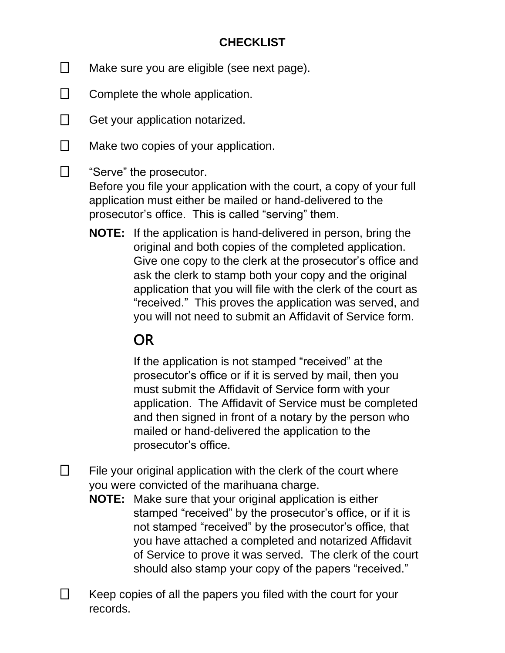## **CHECKLIST**

- $\Box$ Make sure you are eligible (see next page).
- $\Box$ Complete the whole application.
- $\Box$ Get your application notarized.

 $\Box$ 

- $\Box$ Make two copies of your application.
	- "Serve" the prosecutor. Before you file your application with the court, a copy of your full application must either be mailed or hand-delivered to the prosecutor's office. This is called "serving" them.
		- **NOTE:** If the application is hand-delivered in person, bring the original and both copies of the completed application. Give one copy to the clerk at the prosecutor's office and ask the clerk to stamp both your copy and the original application that you will file with the clerk of the court as "received." This proves the application was served, and you will not need to submit an Affidavit of Service form.

# **OR**

If the application is not stamped "received" at the prosecutor's office or if it is served by mail, then you must submit the Affidavit of Service form with your application. The Affidavit of Service must be completed and then signed in front of a notary by the person who mailed or hand-delivered the application to the prosecutor's office.

 $\Box$ File your original application with the clerk of the court where you were convicted of the marihuana charge.

- **NOTE:** Make sure that your original application is either stamped "received" by the prosecutor's office, or if it is not stamped "received" by the prosecutor's office, that you have attached a completed and notarized Affidavit of Service to prove it was served. The clerk of the court should also stamp your copy of the papers "received."
- П Keep copies of all the papers you filed with the court for your records.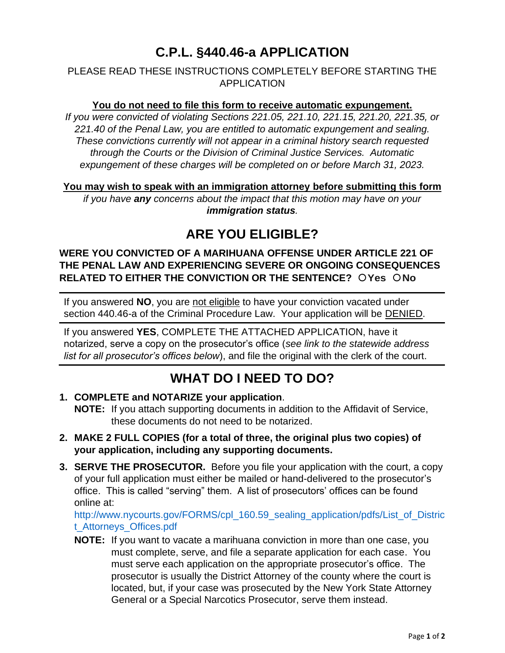# **C.P.L. §440.46-a APPLICATION**

## PLEASE READ THESE INSTRUCTIONS COMPLETELY BEFORE STARTING THE APPLICATION

## **You do not need to file this form to receive automatic expungement.**

*If you were convicted of violating Sections 221.05, 221.10, 221.15, 221.20, 221.35, or 221.40 of the Penal Law, you are entitled to automatic expungement and sealing. These convictions currently will not appear in a criminal history search requested through the Courts or the Division of Criminal Justice Services. Automatic expungement of these charges will be completed on or before March 31, 2023.*

### **You may wish to speak with an immigration attorney before submitting this form**

*if you have any concerns about the impact that this motion may have on your immigration status.*

## **ARE YOU ELIGIBLE?**

## **WERE YOU CONVICTED OF A MARIHUANA OFFENSE UNDER ARTICLE 221 OF THE PENAL LAW AND EXPERIENCING SEVERE OR ONGOING CONSEQUENCES RELATED TO EITHER THE CONVICTION OR THE SENTENCE? OYes ONO**

If you answered **NO**, you are not eligible to have your conviction vacated under section 440.46-a of the Criminal Procedure Law. Your application will be DENIED.

If you answered **YES**, COMPLETE THE ATTACHED APPLICATION, have it notarized, serve a copy on the prosecutor's office (*see link to the statewide address list for all prosecutor's offices below*), and file the original with the clerk of the court.

## **WHAT DO I NEED TO DO?**

- **1. COMPLETE and NOTARIZE your application**. **NOTE:** If you attach supporting documents in addition to the Affidavit of Service, these documents do not need to be notarized.
- **2. MAKE 2 FULL COPIES (for a total of three, the original plus two copies) of your application, including any supporting documents.**
- **3. SERVE THE PROSECUTOR.** Before you file your application with the court, a copy of your full application must either be mailed or hand-delivered to the prosecutor's office. This is called "serving" them. A list of prosecutors' offices can be found online at:

[http://www.nycourts.gov/FORMS/cpl\\_160.59\\_sealing\\_application/pdfs/List\\_of\\_Distric](http://www.nycourts.gov/FORMS/cpl_160.59_sealing_application/pdfs/List_of_District_Attorneys_Offices.pdf) [t\\_Attorneys\\_Offices.pdf](http://www.nycourts.gov/FORMS/cpl_160.59_sealing_application/pdfs/List_of_District_Attorneys_Offices.pdf)

**NOTE:** If you want to vacate a marihuana conviction in more than one case, you must complete, serve, and file a separate application for each case. You must serve each application on the appropriate prosecutor's office. The prosecutor is usually the District Attorney of the county where the court is located, but, if your case was prosecuted by the New York State Attorney General or a Special Narcotics Prosecutor, serve them instead.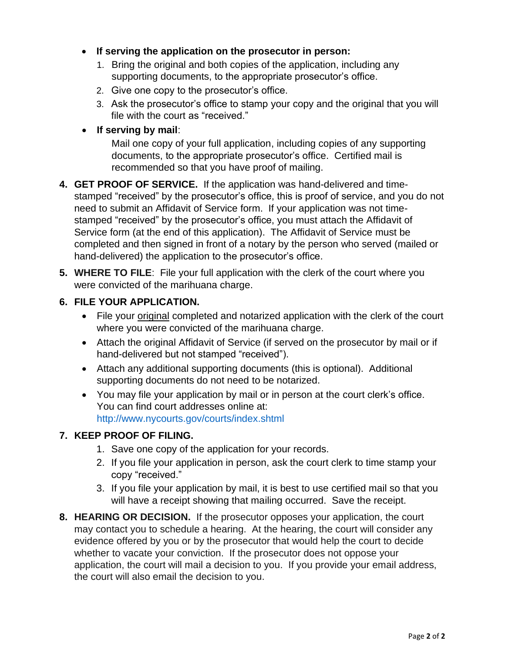- **If serving the application on the prosecutor in person:**
	- 1. Bring the original and both copies of the application, including any supporting documents, to the appropriate prosecutor's office.
	- 2. Give one copy to the prosecutor's office.
	- 3. Ask the prosecutor's office to stamp your copy and the original that you will file with the court as "received."
- **If serving by mail**:

Mail one copy of your full application, including copies of any supporting documents, to the appropriate prosecutor's office. Certified mail is recommended so that you have proof of mailing.

- **4. GET PROOF OF SERVICE.** If the application was hand-delivered and timestamped "received" by the prosecutor's office, this is proof of service, and you do not need to submit an Affidavit of Service form. If your application was not timestamped "received" by the prosecutor's office, you must attach the Affidavit of Service form (at the end of this application). The Affidavit of Service must be completed and then signed in front of a notary by the person who served (mailed or hand-delivered) the application to the prosecutor's office.
- **5. WHERE TO FILE**: File your full application with the clerk of the court where you were convicted of the marihuana charge.
- **6. FILE YOUR APPLICATION.**
	- File your original completed and notarized application with the clerk of the court where you were convicted of the marihuana charge.
	- Attach the original Affidavit of Service (if served on the prosecutor by mail or if hand-delivered but not stamped "received").
	- Attach any additional supporting documents (this is optional). Additional supporting documents do not need to be notarized.
	- You may file your application by mail or in person at the court clerk's office. You can find court addresses online at: <http://www.nycourts.gov/courts/index.shtml>

## **7. KEEP PROOF OF FILING.**

- 1. Save one copy of the application for your records.
- 2. If you file your application in person, ask the court clerk to time stamp your copy "received."
- 3. If you file your application by mail, it is best to use certified mail so that you will have a receipt showing that mailing occurred. Save the receipt.
- **8. HEARING OR DECISION.** If the prosecutor opposes your application, the court may contact you to schedule a hearing. At the hearing, the court will consider any evidence offered by you or by the prosecutor that would help the court to decide whether to vacate your conviction. If the prosecutor does not oppose your application, the court will mail a decision to you. If you provide your email address, the court will also email the decision to you.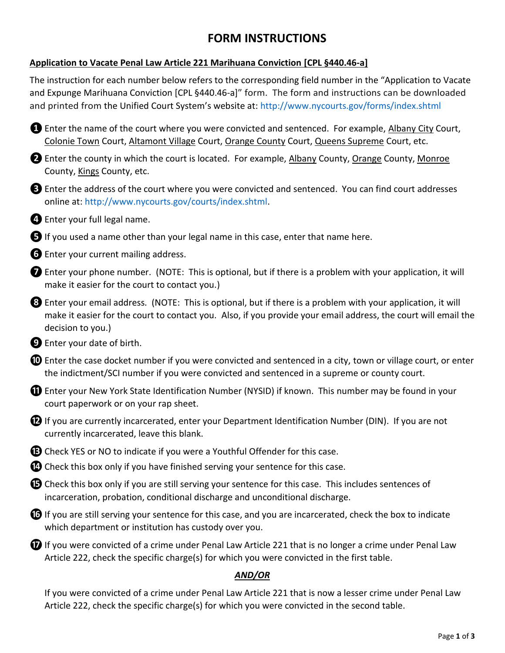## **FORM INSTRUCTIONS**

## **Application to Vacate Penal Law Article 221 Marihuana Conviction [CPL §440.46-a]**

The instruction for each number below refers to the corresponding field number in the "Application to Vacate and Expunge Marihuana Conviction [CPL §440.46-a]" form. The form and instructions can be downloaded and printed from the Unified Court System's website at: <http://www.nycourts.gov/forms/index.shtml>

**D** Enter the name of the court where you were convicted and sentenced. For example, Albany City Court, Colonie Town Court, Altamont Village Court, Orange County Court, Queens Supreme Court, etc.

**<sup>2</sup>** Enter the county in which the court is located. For example, Albany County, Orange County, Monroe County, Kings County, etc.

**❸**Enter the address of the court where you were convicted and sentenced. You can find court addresses online at: [http://www.nycourts.gov/courts/index.shtml.](http://www.nycourts.gov/courts/index.shtml)

**<sup>4</sup>** Enter your full legal name.

**❺**If you used a name other than your legal name in this case, enter that name here.

*O* Enter your current mailing address.

**❼**Enter your phone number. (NOTE: This is optional, but if there is a problem with your application, it will make it easier for the court to contact you.)

**❽**Enter your email address. (NOTE: This is optional, but if there is a problem with your application, it will make it easier for the court to contact you. Also, if you provide your email address, the court will email the decision to you.)

**❾**Enter your date of birth.

**❿**Enter the case docket number if you were convicted and sentenced in a city, town or village court, or enter the indictment/SCI number if you were convicted and sentenced in a supreme or county court.

**1** Enter your New York State Identification Number (NYSID) if known. This number may be found in your court paperwork or on your rap sheet.

**<sup>1</sup>** If you are currently incarcerated, enter your Department Identification Number (DIN). If you are not currently incarcerated, leave this blank.

*B* Check YES or NO to indicate if you were a Youthful Offender for this case.

*A* Check this box only if you have finished serving your sentence for this case.

 $\bullet$  Check this box only if you are still serving your sentence for this case. This includes sentences of incarceration, probation, conditional discharge and unconditional discharge.

*i* If you are still serving your sentence for this case, and you are incarcerated, check the box to indicate which department or institution has custody over you.

 $\Omega$  If you were convicted of a crime under Penal Law Article 221 that is no longer a crime under Penal Law Article 222, check the specific charge(s) for which you were convicted in the first table.

## *AND/OR*

If you were convicted of a crime under Penal Law Article 221 that is now a lesser crime under Penal Law Article 222, check the specific charge(s) for which you were convicted in the second table.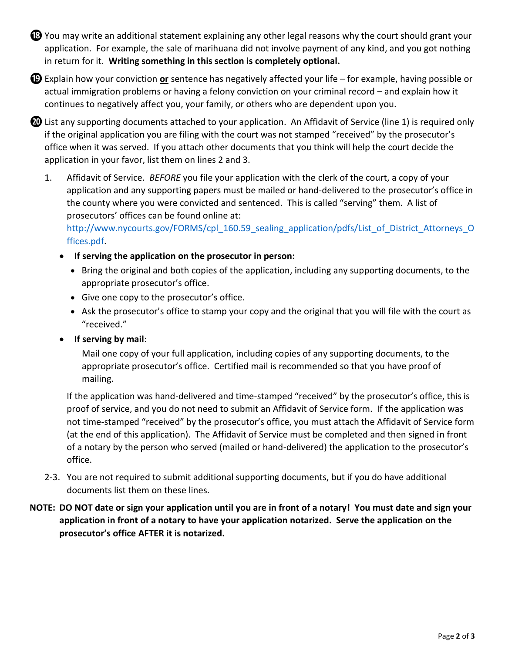**<sup>13</sup>** You may write an additional statement explaining any other legal reasons why the court should grant your application. For example, the sale of marihuana did not involve payment of any kind, and you got nothing in return for it. **Writing something in this section is completely optional.**

**⓳**Explain how your conviction **or** sentence has negatively affected your life – for example, having possible or actual immigration problems or having a felony conviction on your criminal record – and explain how it continues to negatively affect you, your family, or others who are dependent upon you.

**<sup>43</sup>** List any supporting documents attached to your application. An Affidavit of Service (line 1) is required only if the original application you are filing with the court was not stamped "received" by the prosecutor's office when it was served. If you attach other documents that you think will help the court decide the application in your favor, list them on lines 2 and 3.

1. Affidavit of Service. *BEFORE* you file your application with the clerk of the court, a copy of your application and any supporting papers must be mailed or hand-delivered to the prosecutor's office in the county where you were convicted and sentenced. This is called "serving" them. A list of prosecutors' offices can be found online at:

[http://www.nycourts.gov/FORMS/cpl\\_160.59\\_sealing\\_application/pdfs/List\\_of\\_District\\_Attorneys\\_O](http://www.nycourts.gov/FORMS/cpl_160.59_sealing_application/pdfs/List_of_District_Attorneys_Offices.pdf) [ffices.pdf.](http://www.nycourts.gov/FORMS/cpl_160.59_sealing_application/pdfs/List_of_District_Attorneys_Offices.pdf)

- **If serving the application on the prosecutor in person:**
	- Bring the original and both copies of the application, including any supporting documents, to the appropriate prosecutor's office.
	- Give one copy to the prosecutor's office.
	- Ask the prosecutor's office to stamp your copy and the original that you will file with the court as "received."
- **If serving by mail**:

Mail one copy of your full application, including copies of any supporting documents, to the appropriate prosecutor's office. Certified mail is recommended so that you have proof of mailing.

If the application was hand-delivered and time-stamped "received" by the prosecutor's office, this is proof of service, and you do not need to submit an Affidavit of Service form. If the application was not time-stamped "received" by the prosecutor's office, you must attach the Affidavit of Service form (at the end of this application). The Affidavit of Service must be completed and then signed in front of a notary by the person who served (mailed or hand-delivered) the application to the prosecutor's office.

2-3. You are not required to submit additional supporting documents, but if you do have additional documents list them on these lines.

## **NOTE: DO NOT date or sign your application until you are in front of a notary! You must date and sign your application in front of a notary to have your application notarized. Serve the application on the prosecutor's office AFTER it is notarized.**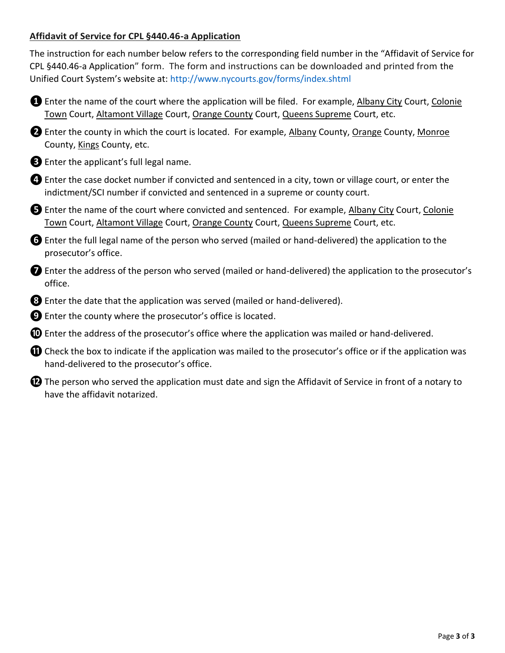## **Affidavit of Service for CPL §440.46-a Application**

The instruction for each number below refers to the corresponding field number in the "Affidavit of Service for CPL §440.46-a Application" form. The form and instructions can be downloaded and printed from the Unified Court System's website at: <http://www.nycourts.gov/forms/index.shtml>

- **❶**Enter the name of the court where the application will be filed. For example, Albany City Court, Colonie Town Court, Altamont Village Court, Orange County Court, Queens Supreme Court, etc.
- **❷**Enter the county in which the court is located. For example, Albany County, Orange County, Monroe County, Kings County, etc.
- **❸**Enter the applicant's full legal name.
- **4** Enter the case docket number if convicted and sentenced in a city, town or village court, or enter the indictment/SCI number if convicted and sentenced in a supreme or county court.
- **❺**Enter the name of the court where convicted and sentenced. For example, Albany City Court, Colonie Town Court, Altamont Village Court, Orange County Court, Queens Supreme Court, etc.
- **❻**Enter the full legal name of the person who served (mailed or hand-delivered) the application to the prosecutor's office.
- **❼**Enter the address of the person who served (mailed or hand-delivered) the application to the prosecutor's office.
- *B* Enter the date that the application was served (mailed or hand-delivered).
- **❾**Enter the county where the prosecutor's office is located.
- *①* Enter the address of the prosecutor's office where the application was mailed or hand-delivered.
- *O* Check the box to indicate if the application was mailed to the prosecutor's office or if the application was hand-delivered to the prosecutor's office.
- $\mathbf{D}$  The person who served the application must date and sign the Affidavit of Service in front of a notary to have the affidavit notarized.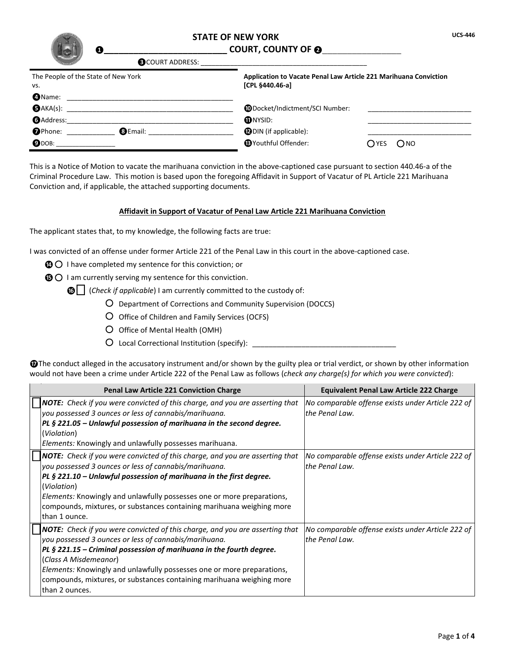| Ω                                          | <b>STATE OF NEW YORK</b><br><b>COURT, COUNTY OF @</b>                               |               | <b>UCS-446</b> |
|--------------------------------------------|-------------------------------------------------------------------------------------|---------------|----------------|
| <b>B</b> COURT ADDRESS:                    |                                                                                     |               |                |
| The People of the State of New York<br>vs. | Application to Vacate Penal Law Article 221 Marihuana Conviction<br>[CPL §440.46-a] |               |                |
| <b>O</b> Name:                             |                                                                                     |               |                |
| $\bigoplus$ AKA(s):                        | <b>CODocket/Indictment/SCI Number:</b>                                              |               |                |
| <b>GAddress:</b>                           | <b>ONYSID:</b>                                                                      |               |                |
| <b>O</b> Phone:<br><b>BEmail:</b>          | <b>DDIN</b> (if applicable):                                                        |               |                |
| $\mathbf{Q}$ DOB:                          | <b>B</b> Youthful Offender:                                                         | Ono<br>( )YES |                |

This is a Notice of Motion to vacate the marihuana conviction in the above-captioned case pursuant to section 440.46-a of the Criminal Procedure Law. This motion is based upon the foregoing Affidavit in Support of Vacatur of PL Article 221 Marihuana Conviction and, if applicable, the attached supporting documents.

#### **Affidavit in Support of Vacatur of Penal Law Article 221 Marihuana Conviction**

The applicant states that, to my knowledge, the following facts are true:

I was convicted of an offense under former Article 221 of the Penal Law in this court in the above-captioned case.

- **<sup>1</sup>** O I have completed my sentence for this conviction; or
- **O** I am currently serving my sentence for this conviction.

**◯** (*Check if applicable*) I am currently committed to the custody of:

- Department of Corrections and Community Supervision (DOCCS)
- O Office of Children and Family Services (OCFS)
- O Office of Mental Health (OMH)
- Local Correctional Institution (specify): \_\_\_\_\_\_\_\_\_\_\_\_\_\_\_\_\_\_\_\_\_\_\_\_\_\_\_\_\_\_\_\_\_\_\_

**The conduct alleged in the accusatory instrument and/or shown by the guilty plea or trial verdict, or shown by other information** would not have been a crime under Article 222 of the Penal Law as follows (*check any charge(s) for which you were convicted*):

| Penal Law Article 221 Conviction Charge                                                                                                                                                                                                                                                                                                                                                                               | <b>Equivalent Penal Law Article 222 Charge</b>                      |
|-----------------------------------------------------------------------------------------------------------------------------------------------------------------------------------------------------------------------------------------------------------------------------------------------------------------------------------------------------------------------------------------------------------------------|---------------------------------------------------------------------|
| NOTE: Check if you were convicted of this charge, and you are asserting that<br>you possessed 3 ounces or less of cannabis/marihuana.<br>PL $\S$ 221.05 – Unlawful possession of marihuana in the second degree.<br>(Violation)<br>Elements: Knowingly and unlawfully possesses marihuana.                                                                                                                            | No comparable offense exists under Article 222 of<br>the Penal Law. |
| <b>NOTE:</b> Check if you were convicted of this charge, and you are asserting that<br>you possessed 3 ounces or less of cannabis/marihuana.<br>PL § 221.10 - Unlawful possession of marihuana in the first degree.<br>(Violation)<br><i>Elements:</i> Knowingly and unlawfully possesses one or more preparations,<br>compounds, mixtures, or substances containing marihuana weighing more<br>than 1 ounce.         | No comparable offense exists under Article 222 of<br>the Penal Law. |
| <b>NOTE:</b> Check if you were convicted of this charge, and you are asserting that<br>you possessed 3 ounces or less of cannabis/marihuana.<br>PL $\S$ 221.15 – Criminal possession of marihuana in the fourth degree.<br>(Class A Misdemeanor)<br>Elements: Knowingly and unlawfully possesses one or more preparations,<br>compounds, mixtures, or substances containing marihuana weighing more<br>than 2 ounces. | No comparable offense exists under Article 222 of<br>the Penal Law. |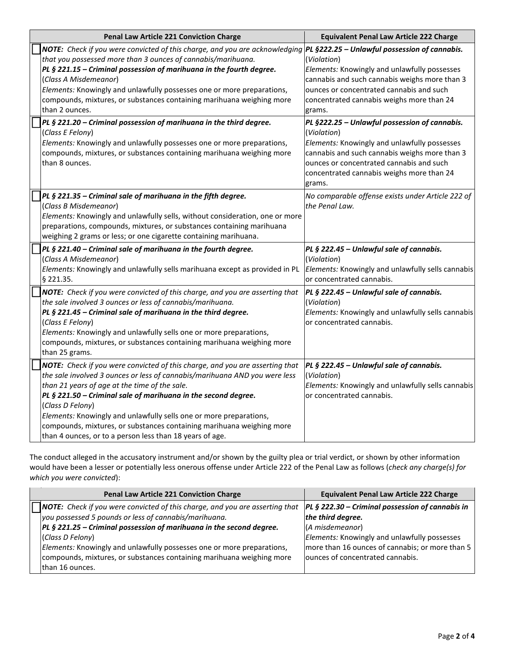| Penal Law Article 221 Conviction Charge                                                                                                                                                                                                                                                                                                                                                                                                                                                                      | <b>Equivalent Penal Law Article 222 Charge</b>                                                                                                                                                                                                                   |
|--------------------------------------------------------------------------------------------------------------------------------------------------------------------------------------------------------------------------------------------------------------------------------------------------------------------------------------------------------------------------------------------------------------------------------------------------------------------------------------------------------------|------------------------------------------------------------------------------------------------------------------------------------------------------------------------------------------------------------------------------------------------------------------|
| NOTE: Check if you were convicted of this charge, and you are acknowledging PL §222.25 - Unlawful possession of cannabis.<br>that you possessed more than 3 ounces of cannabis/marihuana.<br>PL § 221.15 - Criminal possession of marihuana in the fourth degree.<br>(Class A Misdemeanor)<br>Elements: Knowingly and unlawfully possesses one or more preparations,<br>compounds, mixtures, or substances containing marihuana weighing more<br>than 2 ounces.                                              | (Violation)<br>Elements: Knowingly and unlawfully possesses<br>cannabis and such cannabis weighs more than 3<br>ounces or concentrated cannabis and such<br>concentrated cannabis weighs more than 24<br>grams.                                                  |
| PL § 221.20 - Criminal possession of marihuana in the third degree.<br>(Class E Felony)<br>Elements: Knowingly and unlawfully possesses one or more preparations,<br>compounds, mixtures, or substances containing marihuana weighing more<br>than 8 ounces.                                                                                                                                                                                                                                                 | PL §222.25 - Unlawful possession of cannabis.<br>(Violation)<br>Elements: Knowingly and unlawfully possesses<br>cannabis and such cannabis weighs more than 3<br>ounces or concentrated cannabis and such<br>concentrated cannabis weighs more than 24<br>grams. |
| PL § 221.35 - Criminal sale of marihuana in the fifth degree.<br>(Class B Misdemeanor)<br>Elements: Knowingly and unlawfully sells, without consideration, one or more<br>preparations, compounds, mixtures, or substances containing marihuana<br>weighing 2 grams or less; or one cigarette containing marihuana.                                                                                                                                                                                          | No comparable offense exists under Article 222 of<br>the Penal Law.                                                                                                                                                                                              |
| PL § 221.40 - Criminal sale of marihuana in the fourth degree.<br>(Class A Misdemeanor)<br>Elements: Knowingly and unlawfully sells marihuana except as provided in PL<br>$§$ 221.35.                                                                                                                                                                                                                                                                                                                        | PL § 222.45 - Unlawful sale of cannabis.<br>(Violation)<br>Elements: Knowingly and unlawfully sells cannabis<br>or concentrated cannabis.                                                                                                                        |
| NOTE: Check if you were convicted of this charge, and you are asserting that<br>the sale involved 3 ounces or less of cannabis/marihuana.<br>PL § 221.45 - Criminal sale of marihuana in the third degree.<br>(Class E Felony)<br>Elements: Knowingly and unlawfully sells one or more preparations,<br>compounds, mixtures, or substances containing marihuana weighing more<br>than 25 grams.                                                                                                              | PL § 222.45 - Unlawful sale of cannabis.<br>(Violation)<br>Elements: Knowingly and unlawfully sells cannabis<br>or concentrated cannabis.                                                                                                                        |
| NOTE: Check if you were convicted of this charge, and you are asserting that<br>the sale involved 3 ounces or less of cannabis/marihuana AND you were less<br>than 21 years of age at the time of the sale.<br>PL § 221.50 - Criminal sale of marihuana in the second degree.<br>(Class D Felony)<br>Elements: Knowingly and unlawfully sells one or more preparations,<br>compounds, mixtures, or substances containing marihuana weighing more<br>than 4 ounces, or to a person less than 18 years of age. | PL § 222.45 - Unlawful sale of cannabis.<br>(Violation)<br>Elements: Knowingly and unlawfully sells cannabis<br>or concentrated cannabis.                                                                                                                        |

The conduct alleged in the accusatory instrument and/or shown by the guilty plea or trial verdict, or shown by other information would have been a lesser or potentially less onerous offense under Article 222 of the Penal Law as follows (*check any charge(s) for which you were convicted*):

| Penal Law Article 221 Conviction Charge                                             | <b>Equivalent Penal Law Article 222 Charge</b>     |
|-------------------------------------------------------------------------------------|----------------------------------------------------|
| <b>NOTE:</b> Check if you were convicted of this charge, and you are asserting that | $PL$ § 222.30 – Criminal possession of cannabis in |
| you possessed 5 pounds or less of cannabis/marihuana.                               | the third degree.                                  |
| $PL$ § 221.25 – Criminal possession of marihuana in the second degree.              | (A misdemeanor)                                    |
| (Class D Felony)                                                                    | Elements: Knowingly and unlawfully possesses       |
| Elements: Knowingly and unlawfully possesses one or more preparations,              | more than 16 ounces of cannabis; or more than 5    |
| compounds, mixtures, or substances containing marihuana weighing more               | lounces of concentrated cannabis.                  |
| Ithan 16 ounces.                                                                    |                                                    |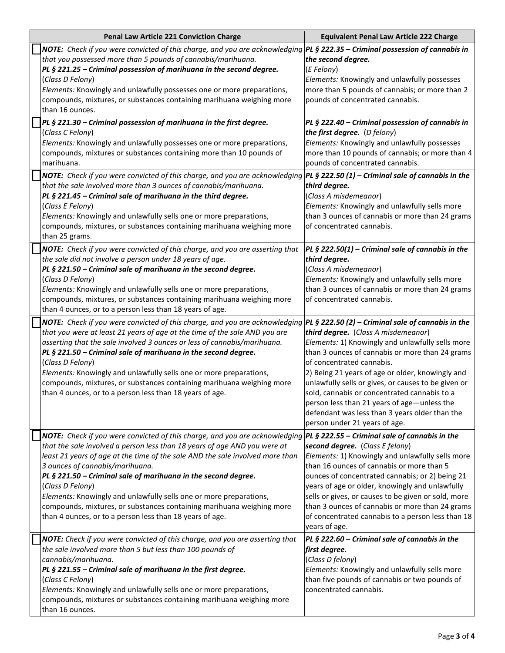| Penal Law Article 221 Conviction Charge                                                                                                                                                                                                                                                                                                                                                                                                                                                                                                                                       | <b>Equivalent Penal Law Article 222 Charge</b>                                                                                                                                                                                                                                                                                                                                                                                                                                                                             |
|-------------------------------------------------------------------------------------------------------------------------------------------------------------------------------------------------------------------------------------------------------------------------------------------------------------------------------------------------------------------------------------------------------------------------------------------------------------------------------------------------------------------------------------------------------------------------------|----------------------------------------------------------------------------------------------------------------------------------------------------------------------------------------------------------------------------------------------------------------------------------------------------------------------------------------------------------------------------------------------------------------------------------------------------------------------------------------------------------------------------|
| NOTE: Check if you were convicted of this charge, and you are acknowledging<br>that you possessed more than 5 pounds of cannabis/marihuana.<br>PL § 221.25 - Criminal possession of marihuana in the second degree.<br>(Class D Felony)<br>Elements: Knowingly and unlawfully possesses one or more preparations,<br>compounds, mixtures, or substances containing marihuana weighing more<br>than 16 ounces.                                                                                                                                                                 | PL § 222.35 - Criminal possession of cannabis in<br>the second degree.<br>(E Felony)<br>Elements: Knowingly and unlawfully possesses<br>more than 5 pounds of cannabis; or more than 2<br>pounds of concentrated cannabis.                                                                                                                                                                                                                                                                                                 |
| $PL$ § 221.30 – Criminal possession of marihuana in the first degree.<br>(Class C Felony)<br>Elements: Knowingly and unlawfully possesses one or more preparations,<br>compounds, mixtures or substances containing more than 10 pounds of<br>marihuana.                                                                                                                                                                                                                                                                                                                      | PL § 222.40 - Criminal possession of cannabis in<br>the first degree. (D felony)<br>Elements: Knowingly and unlawfully possesses<br>more than 10 pounds of cannabis; or more than 4<br>pounds of concentrated cannabis.                                                                                                                                                                                                                                                                                                    |
| NOTE: Check if you were convicted of this charge, and you are acknowledging  PL § 222.50 (1) - Criminal sale of cannabis in the<br>that the sale involved more than 3 ounces of cannabis/marihuana.<br>PL § 221.45 – Criminal sale of marihuana in the third degree.<br>(Class E Felony)<br>Elements: Knowingly and unlawfully sells one or more preparations,<br>compounds, mixtures, or substances containing marihuana weighing more<br>than 25 grams.                                                                                                                     | third degree.<br>(Class A misdemeanor)<br>Elements: Knowingly and unlawfully sells more<br>than 3 ounces of cannabis or more than 24 grams<br>of concentrated cannabis.                                                                                                                                                                                                                                                                                                                                                    |
| NOTE: Check if you were convicted of this charge, and you are asserting that<br>the sale did not involve a person under 18 years of age.<br>PL § 221.50 - Criminal sale of marihuana in the second degree.<br>(Class D Felony)<br>Elements: Knowingly and unlawfully sells one or more preparations,<br>compounds, mixtures, or substances containing marihuana weighing more<br>than 4 ounces, or to a person less than 18 years of age.                                                                                                                                     | PL § 222.50(1) – Criminal sale of cannabis in the<br>third degree.<br>(Class A misdemeanor)<br>Elements: Knowingly and unlawfully sells more<br>than 3 ounces of cannabis or more than 24 grams<br>of concentrated cannabis.                                                                                                                                                                                                                                                                                               |
| <b>NOTE:</b> Check if you were convicted of this charge, and you are acknowledging<br>that you were at least 21 years of age at the time of the sale AND you are<br>asserting that the sale involved 3 ounces or less of cannabis/marihuana.<br>PL § 221.50 - Criminal sale of marihuana in the second degree.<br>(Class D Felony)<br>Elements: Knowingly and unlawfully sells one or more preparations,<br>compounds, mixtures, or substances containing marihuana weighing more<br>than 4 ounces, or to a person less than 18 years of age.                                 | PL § 222.50 (2) – Criminal sale of cannabis in the<br>third degree. (Class A misdemeanor)<br>Elements: 1) Knowingly and unlawfully sells more<br>than 3 ounces of cannabis or more than 24 grams<br>of concentrated cannabis.<br>2) Being 21 years of age or older, knowingly and<br>unlawfully sells or gives, or causes to be given or<br>sold, cannabis or concentrated cannabis to a<br>person less than 21 years of age—unless the<br>defendant was less than 3 years older than the<br>person under 21 years of age. |
| NOTE: Check if you were convicted of this charge, and you are acknowledging<br>that the sale involved a person less than 18 years of age AND you were at<br>least 21 years of age at the time of the sale AND the sale involved more than<br>3 ounces of cannabis/marihuana.<br>PL § 221.50 - Criminal sale of marihuana in the second degree.<br>(Class D Felony)<br>Elements: Knowingly and unlawfully sells one or more preparations,<br>compounds, mixtures, or substances containing marihuana weighing more<br>than 4 ounces, or to a person less than 18 years of age. | PL § 222.55 – Criminal sale of cannabis in the<br>second degree. (Class E felony)<br>Elements: 1) Knowingly and unlawfully sells more<br>than 16 ounces of cannabis or more than 5<br>ounces of concentrated cannabis; or 2) being 21<br>years of age or older, knowingly and unlawfully<br>sells or gives, or causes to be given or sold, more<br>than 3 ounces of cannabis or more than 24 grams<br>of concentrated cannabis to a person less than 18<br>years of age.                                                   |
| NOTE: Check if you were convicted of this charge, and you are asserting that<br>the sale involved more than 5 but less than 100 pounds of<br>cannabis/marihuana.<br>PL § 221.55 - Criminal sale of marihuana in the first degree.<br>(Class C Felony)<br>Elements: Knowingly and unlawfully sells one or more preparations,<br>compounds, mixtures or substances containing marihuana weighing more<br>than 16 ounces.                                                                                                                                                        | PL § 222.60 – Criminal sale of cannabis in the<br>first degree.<br>(Class D felony)<br>Elements: Knowingly and unlawfully sells more<br>than five pounds of cannabis or two pounds of<br>concentrated cannabis.                                                                                                                                                                                                                                                                                                            |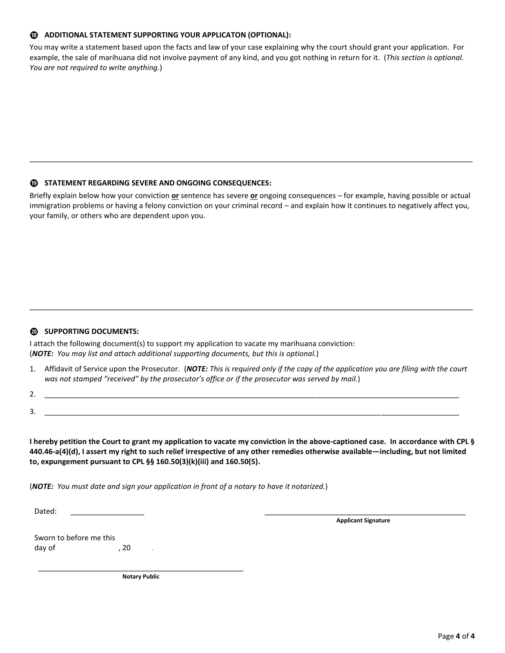#### **⓲ ADDITIONAL STATEMENT SUPPORTING YOUR APPLICATON (OPTIONAL):**

You may write a statement based upon the facts and law of your case explaining why the court should grant your application. For example, the sale of marihuana did not involve payment of any kind, and you got nothing in return for it. (*This section is optional. You are not required to write anything.*)

#### **⓳ STATEMENT REGARDING SEVERE AND ONGOING CONSEQUENCES:**

Briefly explain below how your conviction **or** sentence has severe **or** ongoing consequences – for example, having possible or actual immigration problems or having a felony conviction on your criminal record – and explain how it continues to negatively affect you, your family, or others who are dependent upon you.

\_\_\_\_\_\_\_\_\_\_\_\_\_\_\_\_\_\_\_\_\_\_\_\_\_\_\_\_\_\_\_\_\_\_\_\_\_\_\_\_\_\_\_\_\_\_\_\_\_\_\_\_\_\_\_\_\_\_\_\_\_\_\_\_\_\_\_\_\_\_\_\_\_\_\_\_\_\_\_\_\_\_\_\_\_\_\_\_\_\_\_\_\_\_\_\_\_\_\_\_\_\_\_\_\_\_\_\_

#### **⓴ SUPPORTING DOCUMENTS:**

I attach the following document(s) to support my application to vacate my marihuana conviction: (*NOTE: You may list and attach additional supporting documents, but this is optional.*)

1. Affidavit of Service upon the Prosecutor. (*NOTE: This is required only if the copy of the application you are filing with the court was not stamped "received" by the prosecutor's office or if the prosecutor was served by mail.*)

\_\_\_\_\_\_\_\_\_\_\_\_\_\_\_\_\_\_\_\_\_\_\_\_\_\_\_\_\_\_\_\_\_\_\_\_\_\_\_\_\_\_\_\_\_\_\_\_\_\_\_\_\_\_\_\_\_\_\_\_\_\_\_\_\_\_\_\_\_\_\_\_\_\_\_\_\_\_\_\_\_\_\_\_\_\_\_\_\_\_\_\_\_\_\_\_\_\_\_\_\_\_\_\_\_\_\_\_

2. \_\_\_\_\_\_\_\_\_\_\_\_\_\_\_\_\_\_\_\_\_\_\_\_\_\_\_\_\_\_\_\_\_\_\_\_\_\_\_\_\_\_\_\_\_\_\_\_\_\_\_\_\_\_\_\_\_\_\_\_\_\_\_\_\_\_\_\_\_\_\_\_\_\_\_\_\_\_\_\_\_\_\_\_\_\_\_\_\_\_\_\_\_\_\_\_\_\_\_\_\_ 3. \_\_\_\_\_\_\_\_\_\_\_\_\_\_\_\_\_\_\_\_\_\_\_\_\_\_\_\_\_\_\_\_\_\_\_\_\_\_\_\_\_\_\_\_\_\_\_\_\_\_\_\_\_\_\_\_\_\_\_\_\_\_\_\_\_\_\_\_\_\_\_\_\_\_\_\_\_\_\_\_\_\_\_\_\_\_\_\_\_\_\_\_\_\_\_\_\_\_\_\_\_

 **I hereby petition the Court to grant my application to vacate my conviction in the above-captioned case. In accordance with CPL § 440.46-a(4)(d), I assert my right to such relief irrespective of any other remedies otherwise available—including, but not limited to, expungement pursuant to CPL §§ 160.50(3)(k)(iii) and 160.50(5).**

 (*NOTE: You must date and sign your application in front of a notary to have it notarized.*)

Dated: \_\_\_\_\_\_\_\_\_\_\_\_\_\_\_\_\_\_ \_\_\_\_\_\_\_\_\_\_\_\_\_\_\_\_\_\_\_\_\_\_\_\_\_\_\_\_\_\_\_\_\_\_\_\_\_\_\_\_\_\_\_\_\_\_\_\_\_

**Applicant Signature**

| Sworn to before me this |      |  |
|-------------------------|------|--|
| day of                  | . 20 |  |

\_\_\_\_\_\_\_\_\_\_\_\_\_\_\_\_\_\_\_\_\_\_\_\_\_\_\_\_\_\_\_\_\_\_\_\_\_\_\_\_\_\_\_\_\_\_\_\_\_\_ **Notary Public**